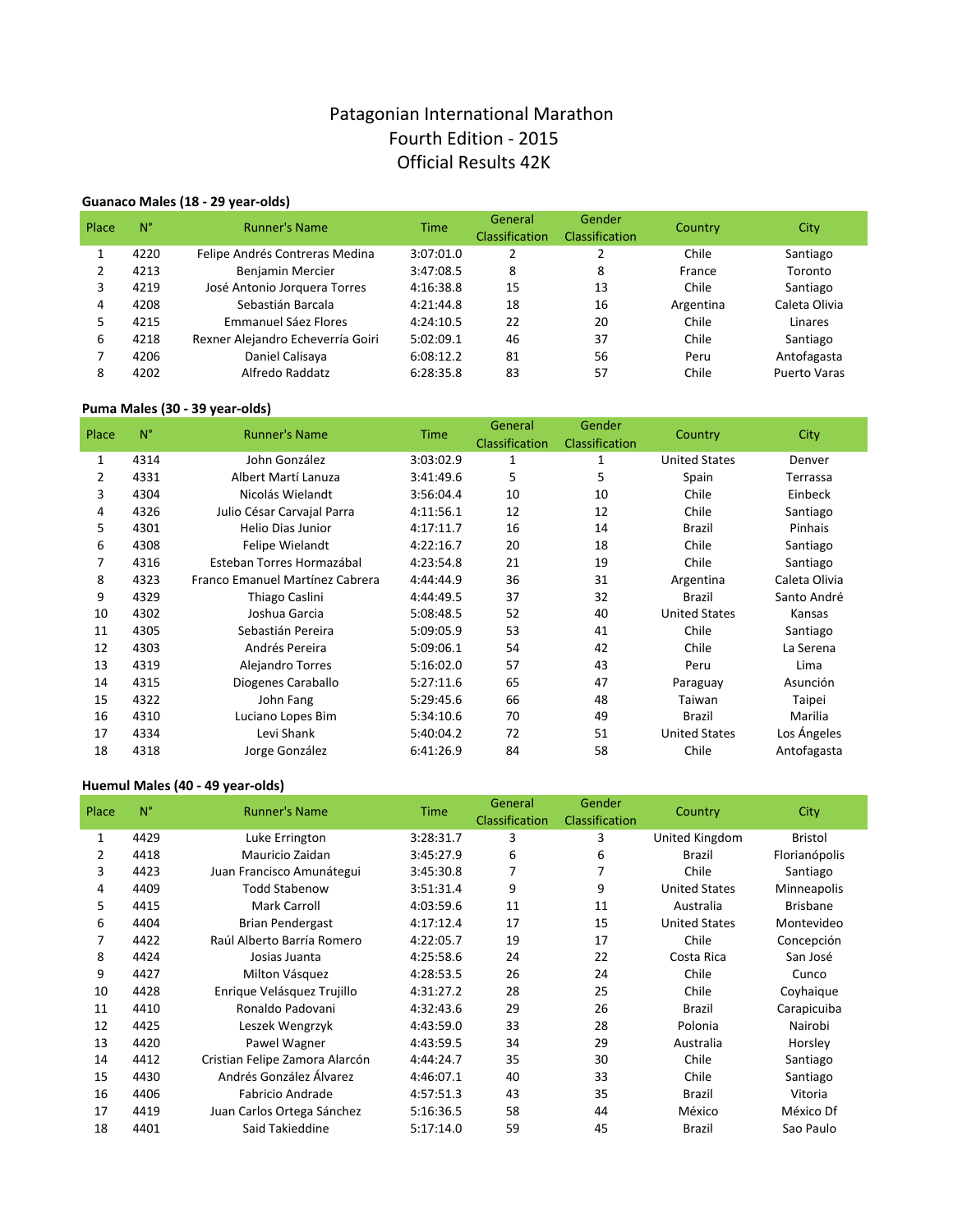# Patagonian International Marathon Fourth Edition - 2015 Official Results 42K

## **Guanaco Males (18 - 29 year-olds)**

| Place | $N^{\circ}$ | <b>Runner's Name</b>              | <b>Time</b> | General<br>Classification | Gender<br><b>Classification</b> | Country   | City                |
|-------|-------------|-----------------------------------|-------------|---------------------------|---------------------------------|-----------|---------------------|
|       | 4220        | Felipe Andrés Contreras Medina    | 3:07:01.0   |                           |                                 | Chile     | Santiago            |
|       | 4213        | Benjamin Mercier                  | 3:47:08.5   | 8                         | 8                               | France    | Toronto             |
| 3     | 4219        | José Antonio Jorquera Torres      | 4:16:38.8   | 15                        | 13                              | Chile     | Santiago            |
| 4     | 4208        | Sebastián Barcala                 | 4:21:44.8   | 18                        | 16                              | Argentina | Caleta Olivia       |
| 5     | 4215        | Emmanuel Sáez Flores              | 4:24:10.5   | 22                        | 20                              | Chile     | Linares             |
| 6     | 4218        | Rexner Alejandro Echeverría Goiri | 5:02:09.1   | 46                        | 37                              | Chile     | Santiago            |
|       | 4206        | Daniel Calisaya                   | 6:08:12.2   | 81                        | 56                              | Peru      | Antofagasta         |
| 8     | 4202        | Alfredo Raddatz                   | 6:28:35.8   | 83                        | 57                              | Chile     | <b>Puerto Varas</b> |

## **Puma Males (30 - 39 year-olds)**

| Place | $N^{\circ}$ | <b>Runner's Name</b>            | <b>Time</b> | General<br>Classification | Gender<br>Classification | Country              | City          |
|-------|-------------|---------------------------------|-------------|---------------------------|--------------------------|----------------------|---------------|
| 1     | 4314        | John González                   | 3:03:02.9   | 1                         | 1                        | <b>United States</b> | Denver        |
| 2     | 4331        | Albert Martí Lanuza             | 3:41:49.6   | 5                         | 5                        | Spain                | Terrassa      |
| 3     | 4304        | Nicolás Wielandt                | 3:56:04.4   | 10                        | 10                       | Chile                | Einbeck       |
| 4     | 4326        | Julio César Carvajal Parra      | 4:11:56.1   | 12                        | 12                       | Chile                | Santiago      |
| 5     | 4301        | Helio Dias Junior               | 4:17:11.7   | 16                        | 14                       | <b>Brazil</b>        | Pinhais       |
| 6     | 4308        | Felipe Wielandt                 | 4:22:16.7   | 20                        | 18                       | Chile                | Santiago      |
| 7     | 4316        | Esteban Torres Hormazábal       | 4:23:54.8   | 21                        | 19                       | Chile                | Santiago      |
| 8     | 4323        | Franco Emanuel Martínez Cabrera | 4:44:44.9   | 36                        | 31                       | Argentina            | Caleta Olivia |
| 9     | 4329        | Thiago Caslini                  | 4:44:49.5   | 37                        | 32                       | <b>Brazil</b>        | Santo André   |
| 10    | 4302        | Joshua Garcia                   | 5:08:48.5   | 52                        | 40                       | <b>United States</b> | Kansas        |
| 11    | 4305        | Sebastián Pereira               | 5:09:05.9   | 53                        | 41                       | Chile                | Santiago      |
| 12    | 4303        | Andrés Pereira                  | 5:09:06.1   | 54                        | 42                       | Chile                | La Serena     |
| 13    | 4319        | Alejandro Torres                | 5:16:02.0   | 57                        | 43                       | Peru                 | Lima          |
| 14    | 4315        | Diogenes Caraballo              | 5:27:11.6   | 65                        | 47                       | Paraguay             | Asunción      |
| 15    | 4322        | John Fang                       | 5:29:45.6   | 66                        | 48                       | Taiwan               | Taipei        |
| 16    | 4310        | Luciano Lopes Bim               | 5:34:10.6   | 70                        | 49                       | Brazil               | Marilia       |
| 17    | 4334        | Levi Shank                      | 5:40:04.2   | 72                        | 51                       | <b>United States</b> | Los Ángeles   |
| 18    | 4318        | Jorge González                  | 6:41:26.9   | 84                        | 58                       | Chile                | Antofagasta   |

## **Huemul Males (40 - 49 year-olds)**

| Place | $N^{\circ}$ | <b>Runner's Name</b>           | <b>Time</b> | General<br>Classification | Gender<br>Classification | Country              | City            |
|-------|-------------|--------------------------------|-------------|---------------------------|--------------------------|----------------------|-----------------|
| 1     | 4429        | Luke Errington                 | 3:28:31.7   | 3                         | 3                        | United Kingdom       | <b>Bristol</b>  |
| 2     | 4418        | Mauricio Zaidan                | 3:45:27.9   | 6                         | 6                        | <b>Brazil</b>        | Florianópolis   |
| 3     | 4423        | Juan Francisco Amunátegui      | 3:45:30.8   | 7                         | 7                        | Chile                | Santiago        |
| 4     | 4409        | <b>Todd Stabenow</b>           | 3:51:31.4   | 9                         | 9                        | <b>United States</b> | Minneapolis     |
| 5     | 4415        | Mark Carroll                   | 4:03:59.6   | 11                        | 11                       | Australia            | <b>Brisbane</b> |
| 6     | 4404        | <b>Brian Pendergast</b>        | 4:17:12.4   | 17                        | 15                       | <b>United States</b> | Montevideo      |
|       | 4422        | Raúl Alberto Barría Romero     | 4:22:05.7   | 19                        | 17                       | Chile                | Concepción      |
| 8     | 4424        | Josias Juanta                  | 4:25:58.6   | 24                        | 22                       | Costa Rica           | San José        |
| 9     | 4427        | Milton Vásquez                 | 4:28:53.5   | 26                        | 24                       | Chile                | Cunco           |
| 10    | 4428        | Enrique Velásquez Trujillo     | 4:31:27.2   | 28                        | 25                       | Chile                | Coyhaique       |
| 11    | 4410        | Ronaldo Padovani               | 4:32:43.6   | 29                        | 26                       | <b>Brazil</b>        | Carapicuiba     |
| 12    | 4425        | Leszek Wengrzyk                | 4:43:59.0   | 33                        | 28                       | Polonia              | Nairobi         |
| 13    | 4420        | Pawel Wagner                   | 4:43:59.5   | 34                        | 29                       | Australia            | Horsley         |
| 14    | 4412        | Cristian Felipe Zamora Alarcón | 4:44:24.7   | 35                        | 30                       | Chile                | Santiago        |
| 15    | 4430        | Andrés González Álvarez        | 4:46:07.1   | 40                        | 33                       | Chile                | Santiago        |
| 16    | 4406        | Fabricio Andrade               | 4:57:51.3   | 43                        | 35                       | <b>Brazil</b>        | Vitoria         |
| 17    | 4419        | Juan Carlos Ortega Sánchez     | 5:16:36.5   | 58                        | 44                       | México               | México Df       |
| 18    | 4401        | Said Takieddine                | 5:17:14.0   | 59                        | 45                       | Brazil               | Sao Paulo       |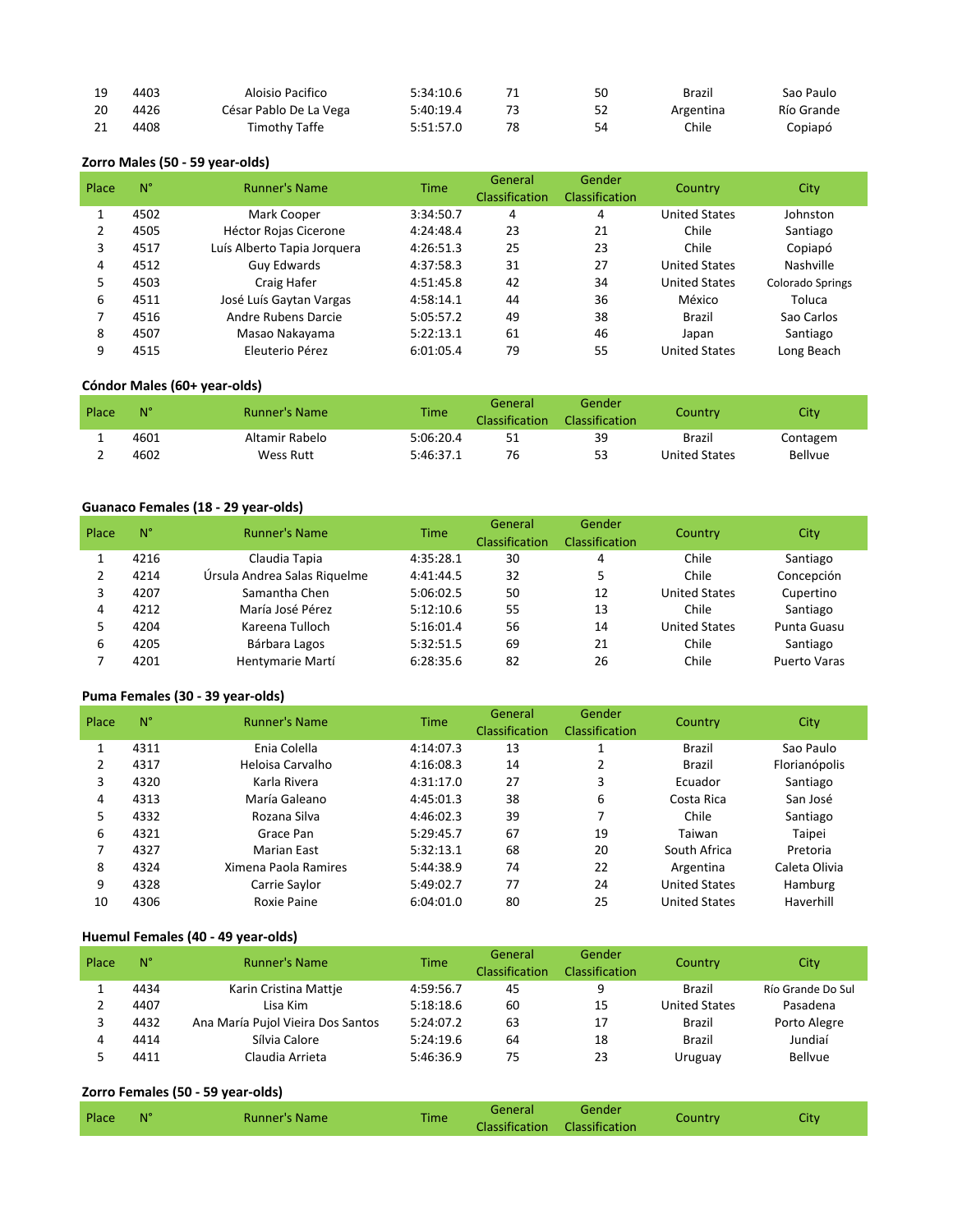|    | 4403 | Aloisio Pacifico       | 5:34:10.6 |    | 50 | Brazil    | Sao Paulo  |
|----|------|------------------------|-----------|----|----|-----------|------------|
| 20 | 4426 | César Pablo De La Vega | 5:40:19.4 |    | 52 | Argentina | Río Grande |
| 21 | 4408 | Timothy Taffe          | 5:51:57.0 | 78 |    | Chile     | Copiapó    |

## **Zorro Males (50 - 59 year-olds)**

| Place | $N^{\circ}$ | <b>Runner's Name</b>         | <b>Time</b> | General<br>Classification | Gender<br><b>Classification</b> | Country              | <b>City</b>             |
|-------|-------------|------------------------------|-------------|---------------------------|---------------------------------|----------------------|-------------------------|
|       | 4502        | Mark Cooper                  | 3:34:50.7   | 4                         | 4                               | <b>United States</b> | Johnston                |
| 2     | 4505        | <b>Héctor Rojas Cicerone</b> | 4:24:48.4   | 23                        | 21                              | Chile                | Santiago                |
| 3     | 4517        | Luís Alberto Tapia Jorquera  | 4:26:51.3   | 25                        | 23                              | Chile                | Copiapó                 |
| 4     | 4512        | <b>Guy Edwards</b>           | 4:37:58.3   | 31                        | 27                              | <b>United States</b> | Nashville               |
| 5     | 4503        | Craig Hafer                  | 4:51:45.8   | 42                        | 34                              | <b>United States</b> | <b>Colorado Springs</b> |
| 6     | 4511        | José Luís Gaytan Vargas      | 4:58:14.1   | 44                        | 36                              | México               | Toluca                  |
|       | 4516        | Andre Rubens Darcie          | 5:05:57.2   | 49                        | 38                              | Brazil               | Sao Carlos              |
| 8     | 4507        | Masao Nakayama               | 5:22:13.1   | 61                        | 46                              | Japan                | Santiago                |
| 9     | 4515        | Eleuterio Pérez              | 6:01:05.4   | 79                        | 55                              | <b>United States</b> | Long Beach              |

## **Cóndor Males (60+ year-olds)**

| Place | $N^{\circ}$ | <b>Runner's Name</b> | <b>Time</b> | General<br><b>Classification</b> | Gender<br><b>Classification</b> | Countrv       | City           |
|-------|-------------|----------------------|-------------|----------------------------------|---------------------------------|---------------|----------------|
|       | 4601        | Altamir Rabelo       | 5:06:20.4   | 51                               | 39                              | Brazil        | Contagem       |
|       | 4602        | Wess Rutt            | 5:46:37.1   | 76                               | 53                              | United States | <b>Bellyue</b> |

## Guanaco Females (18 - 29 year-olds)

| Place | N°   | <b>Runner's Name</b>         | <b>Time</b> | General<br>Classification | Gender<br><b>Classification</b> | Country              | <b>City</b>         |
|-------|------|------------------------------|-------------|---------------------------|---------------------------------|----------------------|---------------------|
|       | 4216 | Claudia Tapia                | 4:35:28.1   | 30                        | 4                               | Chile                | Santiago            |
|       | 4214 | Úrsula Andrea Salas Riquelme | 4:41:44.5   | 32                        | 5                               | Chile                | Concepción          |
|       | 4207 | Samantha Chen                | 5:06:02.5   | 50                        | 12                              | <b>United States</b> | Cupertino           |
| 4     | 4212 | María José Pérez             | 5:12:10.6   | 55                        | 13                              | Chile                | Santiago            |
|       | 4204 | Kareena Tulloch              | 5:16:01.4   | 56                        | 14                              | <b>United States</b> | Punta Guasu         |
| 6     | 4205 | Bárbara Lagos                | 5:32:51.5   | 69                        | 21                              | Chile                | Santiago            |
|       | 4201 | Hentymarie Martí             | 6:28:35.6   | 82                        | 26                              | Chile                | <b>Puerto Varas</b> |

## Puma Females (30 - 39 year-olds)

| Place | $N^{\circ}$ | <b>Runner's Name</b> | Time      | General        | Gender                | Country              | City          |
|-------|-------------|----------------------|-----------|----------------|-----------------------|----------------------|---------------|
|       |             |                      |           | Classification | <b>Classification</b> |                      |               |
|       | 4311        | Enia Colella         | 4:14:07.3 | 13             |                       | <b>Brazil</b>        | Sao Paulo     |
| 2     | 4317        | Heloisa Carvalho     | 4:16:08.3 | 14             | 2                     | Brazil               | Florianópolis |
| 3     | 4320        | Karla Rivera         | 4:31:17.0 | 27             | 3                     | Ecuador              | Santiago      |
| 4     | 4313        | María Galeano        | 4:45:01.3 | 38             | 6                     | Costa Rica           | San José      |
| 5     | 4332        | Rozana Silva         | 4:46:02.3 | 39             |                       | Chile                | Santiago      |
| 6     | 4321        | Grace Pan            | 5:29:45.7 | 67             | 19                    | Taiwan               | Taipei        |
| 7     | 4327        | Marian East          | 5:32:13.1 | 68             | 20                    | South Africa         | Pretoria      |
| 8     | 4324        | Ximena Paola Ramires | 5:44:38.9 | 74             | 22                    | Argentina            | Caleta Olivia |
| 9     | 4328        | Carrie Saylor        | 5:49:02.7 | 77             | 24                    | <b>United States</b> | Hamburg       |
| 10    | 4306        | Roxie Paine          | 6:04:01.0 | 80             | 25                    | <b>United States</b> | Haverhill     |

#### Huemul Females (40 - 49 year-olds)

| Place | $N^{\circ}$ | <b>Runner's Name</b>              | <b>Time</b> | General<br>Classification | Gender<br><b>Classification</b> | Country              | City              |
|-------|-------------|-----------------------------------|-------------|---------------------------|---------------------------------|----------------------|-------------------|
|       | 4434        | Karin Cristina Mattie             | 4:59:56.7   | 45                        | q                               | <b>Brazil</b>        | Río Grande Do Sul |
|       | 4407        | Lisa Kim                          | 5:18:18.6   | 60                        | 15                              | <b>United States</b> | Pasadena          |
|       | 4432        | Ana María Pujol Vieira Dos Santos | 5:24:07.2   | 63                        | 17                              | Brazil               | Porto Alegre      |
| 4     | 4414        | Sílvia Calore                     | 5:24:19.6   | 64                        | 18                              | <b>Brazil</b>        | Jundiaí           |
|       | 4411        | Claudia Arrieta                   | 5:46:36.9   | 75                        | 23                              | Uruguay              | <b>Bellvue</b>    |

#### **Zorro Females (50 - 59 year-olds)**

| Place | N° | <b>Runner's Name</b> | <b>Time</b> | General               | Gender         | Country | City |
|-------|----|----------------------|-------------|-----------------------|----------------|---------|------|
|       |    |                      |             | <b>Classification</b> | Classification |         |      |